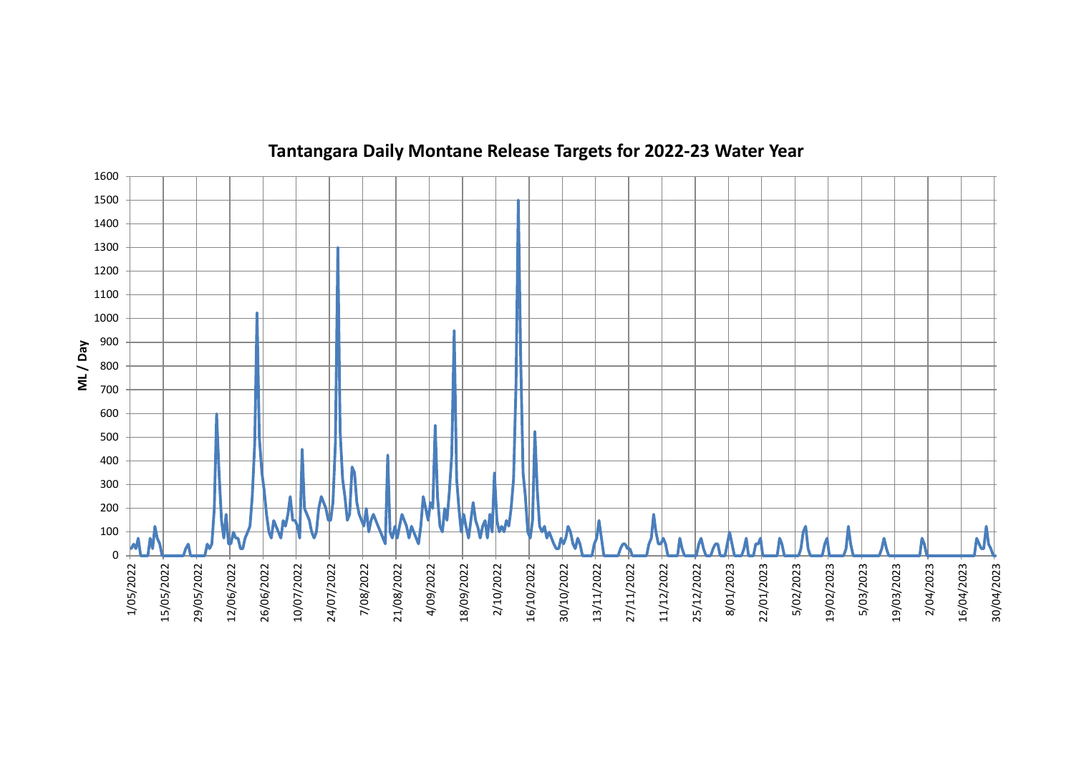

## Tantangara Daily Montane Release Targets for 2022-23 Water Year